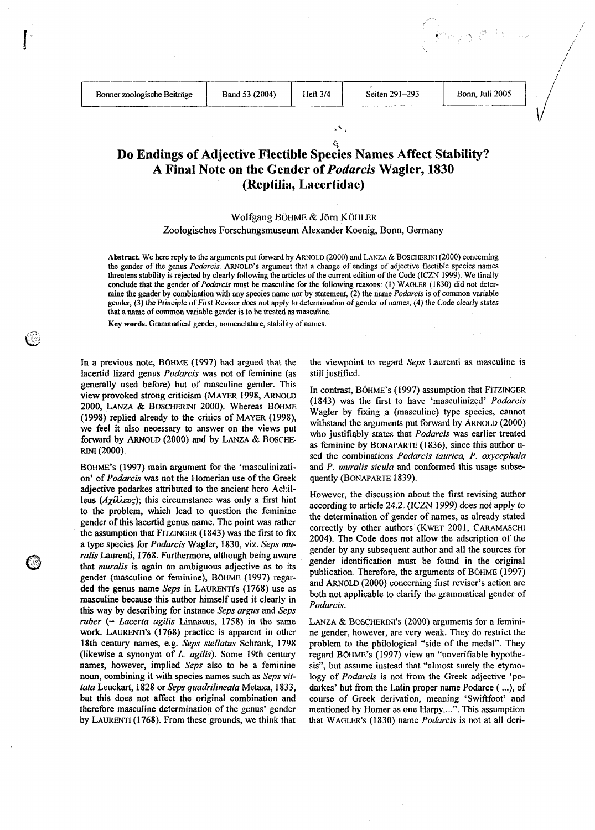r počk

## $\hat{c}_i$ **Do Endings of Adjective Flectible Species Names Affect Stability? A Final Note on the Gender of** *Podarcis* **Wagler, 1830 (Reptilia, Lacertidae)**

## Wolfgang BÖHME & Jörn KÖHLER

## Zoologisches Forschungsmuseum Alexander Koenig, Bonn, Germany

Abstract. We here reply to the argiunents put forward by ARNOLD (2000) and LANZA & BOSCHERINI (2000) concerning the gender of the genus *Podarcis* ARNOLD'S argument that a change of endings ot adjective tlectible species names threatens stability is rejected by clearly following the articles of the current edition of the Code (ICZN 1999) We tinally conclude that the gender of *Podarcis* must be masculine for the following reasons: (1) WAGLER (1830) did not determine the gender by combination with **any** species name nor by statement, (2) the name *Podarcrs* is of common variable gender, (3) the Principle of First Reviser does not apply to determination of gender ot names, (4) the Code clearly states that a name of common variable gender is to be treated as masculine

Key words. Grammatical gender, nomenclature, stability of names

lacertid lizard genus *Podarcis* was not of feminine (as still justified. generally used-before) but of masculine gender. This view provoked strong criticism (MAYER 1998, ARNOLD In contrast, BÖHME's (1997) assumption that FITZINGER view provoked strong criticism (MAYER 1998, ARNOLD In contrast, BÖHME's (1997) assumption that FITZINGER 2000, LANZA & BOSCHERINI 2000). Whereas BÖHME<br>
(1998) replied already to the critics of MAYER (1998),<br>
we feel it also necessary to answer on the views put<br>
forward by ARNOLD (2000) and by LANZA & BOSCHE-<br>
see the strengt

BOHME'S (1997) main argument for the 'masculinization' of *Podarcis* was not the Homerian use of the Greek adjective podarkes attributed to the ancient hero Achilleus  $(Ax^{i}\lambda \&c)$ ; this circumstance was only a first hint to the problem, which lead to question the feminine gender of this lacertid genus name. The point was rather the assumption that FITZINGER (1843) was the first to fix a type species for *Podarcis* Wagler, 1830, viz. *Seps mu*a type species for *Podarcis* Wagler, 1830, viz. Seps mu-<br>
ralis Laurenti, 1768. Furthermore, although being aware<br>
that *muralis* is again an ambiguous adjective as to its gender (masculine or feminine), BOHME (1997) regar; ded the genus name *Seps* in LAURENI'S (1768) use as masculine because this author himself used it clearly in this way by describing for instance *Seps argus* and *Seps ruber*  $($  *= Lacerta agilis Linnaeus*, 1758) in the same work. LAURENTI's (1768) practice is apparent in other 18th century names, e.g. *Seps stellatus* Schrank, 1798 (likewise a synonym of L. agilis). Some 19th century names, however, implied *Seps* also to be a feminine noun, combining it with species names such as *Seps* **vit**tata Leuckart, 1828 or *Seps quadrilineata* Metaxa, 1833, but this does not affect the original combination and therefore masculine determination of the genus' gender by LAURENTI  $(1768)$ . From these grounds, we think that

In a previous note, BOHME (1997) had argued that the the viewpoint to regard *Seps* Laurenti as masculine is

(1843) was the first to have 'masculinized' *I'odarcis*  as feminine by BONAPARTE (1836), since this author u-RINI (2000).<br>sed the combinations *Podarcis taurica*, *P. oxycephala* sed the combinations *Podarcis taurica*, *P. oxycephala* and P<sub>*muralis sicula* and conformed this usage subse-</sub> quently (BONAPARTE 1839).

> However, the discussion about the first revising author according to article 24.2 (ICZN 1999) does not apply to the determination of gender of names, as already stated correctly by other authors (KWET 2001, CARAMASCHI 2004). The Code does not allow the adscription of the gender by any subsequent author and all the sources for gender identification must be found in the original publication. Therefore, the arguments of BÖHME (1997) and ARNOLD (2000) concerning first reviser's action are both not applicable to clarify the grammatical gender of Podarcis.

> LANZA & BOSCHERMI'S (2000) arguments for a feminine gender, however, are very weak. They do restrict the problem to the philological "side of the medal". They regard BOHME's (1997) view an "unverifiable hypothesis", but assume instead that "almost surely the etymology of *Podarcis* is not from the Greek adjective 'podarkes' but from the Latin proper name Podarce (....), of course of Greek derivation, meaning 'Swiftfoot' and mentioned by Homer as one Harpy....". This assumption that WAGLER'S (1 830) name *Podarcis* is not at all deri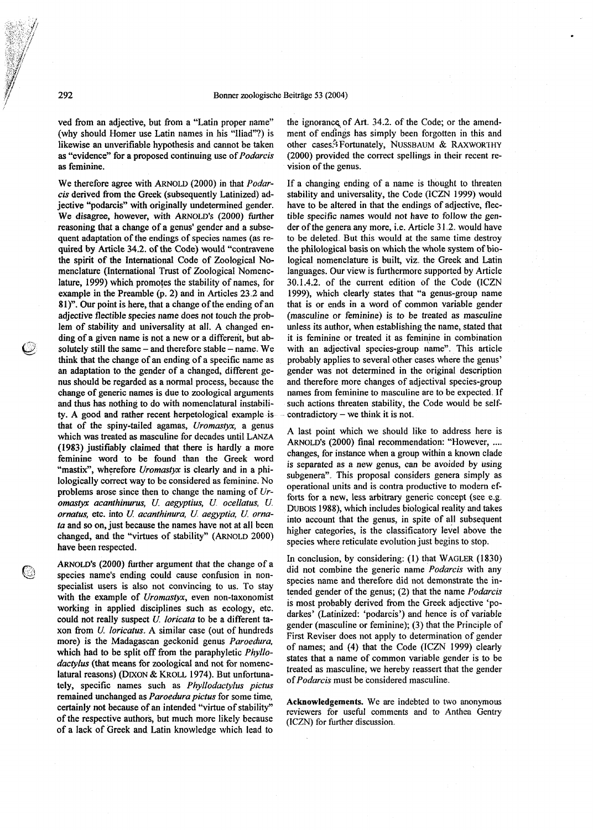ved fiom an adjective, but from a "Latin proper name" (why should Homer use Latin names in his "Iliad"?) is likewise an unverifiable hypothesis and cannot be taken as "evidence" for a proposed continuing use of Podarcis as feminine.

We therefore agree with ARNOLD (2000) in that Podarcis derived from the Greek (subsequently Latinized) adjective "podarcis" with originally undetermined gender. We disagree, however, with ARNOLD'S (2000) further reasoning that a change of a genus' gender and a subsequent adaptation of the endings of species names (as required by Article 34.2. of the Code) would "contravene the spirit of the International Code of Zoological Nomenclature (International Trust of Zoological Nomenclature, 1999) which promotes the stability of names, for example in the Preamble (p. 2) and in Articles 23 2 and 81)". **Our** point is here, that a change of the ending of an adjective flectible species name does not touch the problem of stability and universality at all. A changed ending of a given name is not a new or a different, but absolutely still the same  $-$  and therefore stable  $-$  name. We think that the change of an ending of a specific name as an adaptation to the gender of a changed, different genus should be regarded as a normal process, because the change of generic names is due to zoological arguments and thus has nothing to do with nomenclatural instabili**ty.** A good and rather recent herpetological example is that of the spiny-tailed agamas, Uromastyx, a genus which was treated as masculine for decades until LANZA (1983) justifiably claimed that there is hardly a more feminine word to be found than the Greek word "mastix", wherefore Uromastyx is clearly and in a philologically correct way to be considered as feminine. No problems arose since then to change the naming of Uromastyx acanthinurus, U. aegyptius, U. ocellatus, U. ornatus, etc. into U. acanthinura, U. aegyptia, U. ornata and so on, just because the names have not at all been changed, and the "virtues of stability" (ARNOLD 2000) have been respected.

ARNOLD's (2000) further argument that the change of a species name's ending could cause confusion in nonspecialist users is also not convincing to us. To stay with the example of Uromastyx, even non-taxonomist working in applied disciplines such as ecology, etc. could not really suspect U. loricata to be a different taxon from  $U$ . loricatus. A similar case (out of hundreds more) is the Madagascan geckonid genus Paroedura, which had to be split off from the paraphyletic *Phyllo*dactylus (that means for zoological and not for nomenclatural reasons) (DIXON & KROLL 1974). But unfortunately, specific names such as Phyllodactylus pictus remained unchanged as Paroedura pictus for some time, certainly not because of an intended "virtue of stability" of the respective authors, but much more likely because of a lack of Greek and Latin knowledge which lead to

the ignorance of Art. 34.2. of the Code; or the amendment of endings has simply been forgotten in this and other cases.<sup>3</sup> Fortunately, NUSSBAUM & RAXWORTHY (2000) provided the correct spellings in their recent revision of the genus.

If a changing ending of a name is thought to threaten stability and universality, the Code (ICZN 1999) would have to be altered in that the endings of adjective, flectible specific names would not have to follow the gender of the genera any more, i.e. Article **3** 1 2 would have to be deleted. But this would at the same time destroy the philological basis on which the whole system of biological nomenclature is built, viz the Greek and Latin languages. Our view is furthermore supported by Article 30.1.4.2. of the current edition of the Code (ICZN 1999), which clearly states that "a genus-group name that is or ends in a word of common variable gender (masculine or feminine) is to be treated as masculine unless its author, when establishing the name, stated that it is feminine or treated it as feminine in combination with an adjectival species-group name". This article probably applies to several other cases where the genus' gender was not determined in the original description and therefore more changes of adjectival species-group names from feminine to masculine are to be expected. If such actions threaten stability, the Code would be self $contradictory - we think it is not.$ 

A last point which we should like to address here is ARNOLD'S (2000) final recommendation: "However, .... changes, for instance when a group within a known clade is separated as a new genus, can be avoided by using subgenera". This proposal considers genera simply as operational units and is contra productive to modem efforts for a new, less arbitrary generic concept (see *e* g DUBOIS 1988), which includes biological reality and takes into account that the genus, in spite of all subsequent higher categories, is the classificatory level above the species where reticulate evolution just begins to stop.

In conclusion, by considering: (1) that WAGLER (1830) did not combine the generic name Podarcis with any species name and therefore did not demonstrate the intended gender of the genus; (2) that the name Podarcis is most probably derived from the Greek adjective 'podarkes' (Latinized: 'podarcis') and hence is of variable gender (masculine or feminine); (3) that the Principle of First Reviser does not apply to determination of gender of names; and (4) that the Code (ICZN 1999) clearly states that a name of common variable gender is to be treated as masculine, we hereby reassert that the gender of Podarcis must be considered masculine.

Acknowledgements. We are indebted to two anonymous reviewers for useful comments and to Anthea Gentry (ICZN) for further discussion.

292

 $\omega$ 

O